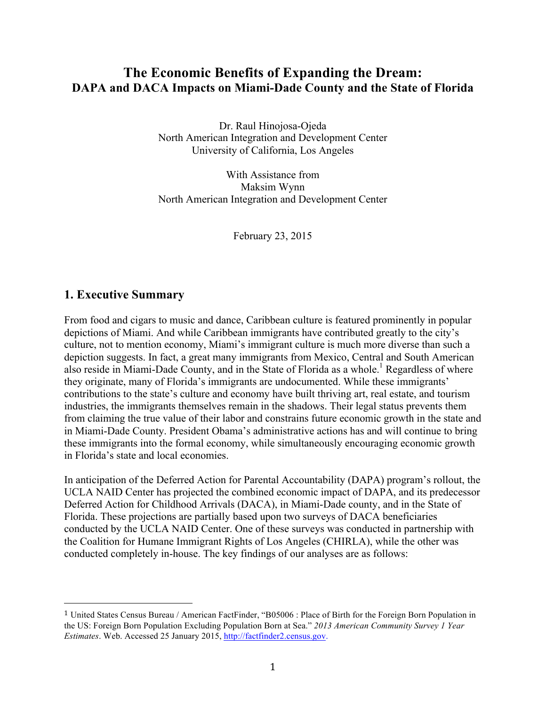# **The Economic Benefits of Expanding the Dream: DAPA and DACA Impacts on Miami-Dade County and the State of Florida**

Dr. Raul Hinojosa-Ojeda North American Integration and Development Center University of California, Los Angeles

With Assistance from Maksim Wynn North American Integration and Development Center

February 23, 2015

### **1. Executive Summary**

 

From food and cigars to music and dance, Caribbean culture is featured prominently in popular depictions of Miami. And while Caribbean immigrants have contributed greatly to the city's culture, not to mention economy, Miami's immigrant culture is much more diverse than such a depiction suggests. In fact, a great many immigrants from Mexico, Central and South American also reside in Miami-Dade County, and in the State of Florida as a whole.<sup>1</sup> Regardless of where they originate, many of Florida's immigrants are undocumented. While these immigrants' contributions to the state's culture and economy have built thriving art, real estate, and tourism industries, the immigrants themselves remain in the shadows. Their legal status prevents them from claiming the true value of their labor and constrains future economic growth in the state and in Miami-Dade County. President Obama's administrative actions has and will continue to bring these immigrants into the formal economy, while simultaneously encouraging economic growth in Florida's state and local economies.

In anticipation of the Deferred Action for Parental Accountability (DAPA) program's rollout, the UCLA NAID Center has projected the combined economic impact of DAPA, and its predecessor Deferred Action for Childhood Arrivals (DACA), in Miami-Dade county, and in the State of Florida. These projections are partially based upon two surveys of DACA beneficiaries conducted by the UCLA NAID Center. One of these surveys was conducted in partnership with the Coalition for Humane Immigrant Rights of Los Angeles (CHIRLA), while the other was conducted completely in-house. The key findings of our analyses are as follows:

<sup>1</sup> United States Census Bureau / American FactFinder, "B05006 : Place of Birth for the Foreign Born Population in the US: Foreign Born Population Excluding Population Born at Sea." *2013 American Community Survey 1 Year Estimates*. Web. Accessed 25 January 2015, http://factfinder2.census.gov.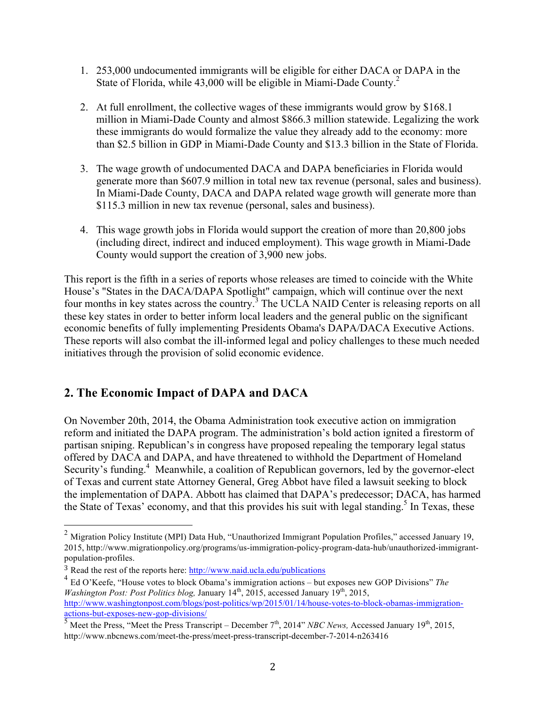- 1. 253,000 undocumented immigrants will be eligible for either DACA or DAPA in the State of Florida, while 43,000 will be eligible in Miami-Dade County.<sup>2</sup>
- 2. At full enrollment, the collective wages of these immigrants would grow by \$168.1 million in Miami-Dade County and almost \$866.3 million statewide. Legalizing the work these immigrants do would formalize the value they already add to the economy: more than \$2.5 billion in GDP in Miami-Dade County and \$13.3 billion in the State of Florida.
- 3. The wage growth of undocumented DACA and DAPA beneficiaries in Florida would generate more than \$607.9 million in total new tax revenue (personal, sales and business). In Miami-Dade County, DACA and DAPA related wage growth will generate more than \$115.3 million in new tax revenue (personal, sales and business).
- 4. This wage growth jobs in Florida would support the creation of more than 20,800 jobs (including direct, indirect and induced employment). This wage growth in Miami-Dade County would support the creation of 3,900 new jobs.

This report is the fifth in a series of reports whose releases are timed to coincide with the White House's "States in the DACA/DAPA Spotlight" campaign, which will continue over the next four months in key states across the country.<sup>3</sup> The UCLA NAID Center is releasing reports on all these key states in order to better inform local leaders and the general public on the significant economic benefits of fully implementing Presidents Obama's DAPA/DACA Executive Actions. These reports will also combat the ill-informed legal and policy challenges to these much needed initiatives through the provision of solid economic evidence.

# **2. The Economic Impact of DAPA and DACA**

On November 20th, 2014, the Obama Administration took executive action on immigration reform and initiated the DAPA program. The administration's bold action ignited a firestorm of partisan sniping. Republican's in congress have proposed repealing the temporary legal status offered by DACA and DAPA, and have threatened to withhold the Department of Homeland Security's funding.<sup>4</sup> Meanwhile, a coalition of Republican governors, led by the governor-elect of Texas and current state Attorney General, Greg Abbot have filed a lawsuit seeking to block the implementation of DAPA. Abbott has claimed that DAPA's predecessor; DACA, has harmed the State of Texas' economy, and that this provides his suit with legal standing.<sup>5</sup> In Texas, these

 <sup>2</sup> Migration Policy Institute (MPI) Data Hub, "Unauthorized Immigrant Population Profiles," accessed January 19, 2015, http://www.migrationpolicy.org/programs/us-immigration-policy-program-data-hub/unauthorized-immigrantpopulation-profiles.

<sup>3</sup> Read the rest of the reports here: http://www.naid.ucla.edu/publications

<sup>4</sup> Ed O'Keefe, "House votes to block Obama's immigration actions – but exposes new GOP Divisions" *The Washington Post: Post Politics blog, January 14<sup>th</sup>, 2015, accessed January 19<sup>th</sup>, 2015,* http://www.washingtonpost.com/blogs/post-politics/wp/2015/01/14/house-votes-to-block-obamas-immigrationactions-but-exposes-new-gop-divisions/

 $\frac{1}{5}$  Meet the Press, "Meet the Press Transcript – December 7<sup>th</sup>, 2014" *NBC News*, Accessed January 19<sup>th</sup>, 2015, http://www.nbcnews.com/meet-the-press/meet-press-transcript-december-7-2014-n263416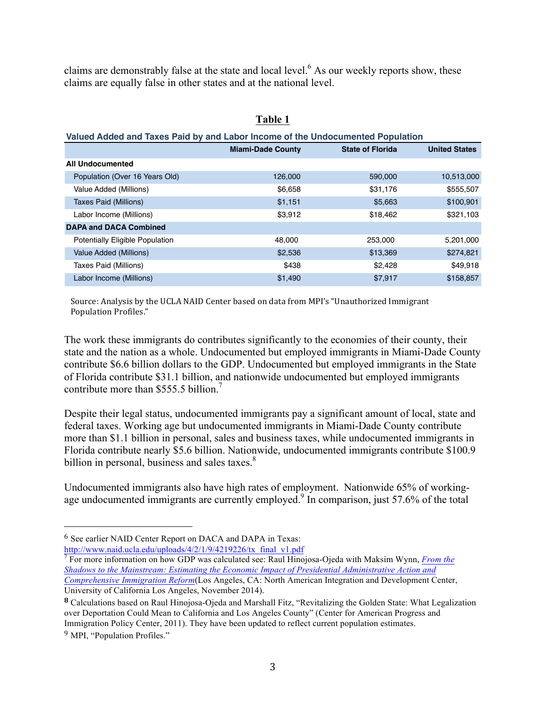claims are demonstrably false at the state and local level.<sup>6</sup> As our weekly reports show, these claims are equally false in other states and at the national level.

| Valued Added and Taxes Paid by and Labor Income of the Undocumented Population |                          |                         |                      |
|--------------------------------------------------------------------------------|--------------------------|-------------------------|----------------------|
|                                                                                | <b>Miami-Dade County</b> | <b>State of Florida</b> | <b>United States</b> |
| <b>All Undocumented</b>                                                        |                          |                         |                      |
| Population (Over 16 Years Old)                                                 | 126,000                  | 590,000                 | 10,513,000           |
| Value Added (Millions)                                                         | \$6,658                  | \$31,176                | \$555,507            |
| Taxes Paid (Millions)                                                          | \$1,151                  | \$5,663                 | \$100,901            |
| Labor Income (Millions)                                                        | \$3,912                  | \$18,462                | \$321,103            |
| <b>DAPA and DACA Combined</b>                                                  |                          |                         |                      |
| <b>Potentially Eligible Population</b>                                         | 48.000                   | 253,000                 | 5,201,000            |
| Value Added (Millions)                                                         | \$2,536                  | \$13,369                | \$274,821            |
| Taxes Paid (Millions)                                                          | \$438                    | \$2,428                 | \$49,918             |
| Labor Income (Millions)                                                        | \$1,490                  | \$7.917                 | \$158,857            |

#### **Table 1**

Source: Analysis by the UCLA NAID Center based on data from MPI's "Unauthorized Immigrant Population Profiles."

The work these immigrants do contributes significantly to the economies of their county, their state and the nation as a whole. Undocumented but employed immigrants in Miami-Dade County contribute \$6.6 billion dollars to the GDP. Undocumented but employed immigrants in the State of Florida contribute \$31.1 billion, and nationwide undocumented but employed immigrants contribute more than \$555.5 billion.<sup>7</sup>

Despite their legal status, undocumented immigrants pay a significant amount of local, state and federal taxes. Working age but undocumented immigrants in Miami-Dade County contribute more than \$1.1 billion in personal, sales and business taxes, while undocumented immigrants in Florida contribute nearly \$5.6 billion. Nationwide, undocumented immigrants contribute \$100.9 billion in personal, business and sales taxes.<sup>8</sup>

Undocumented immigrants also have high rates of employment. Nationwide 65% of workingage undocumented immigrants are currently employed.<sup>9</sup> In comparison, just 57.6% of the total

<sup>6</sup> See earlier NAID Center Report on DACA and DAPA in Texas: http://www.naid.ucla.edu/uploads/4/2/1/9/4219226/tx\_final\_v1.pdf

<sup>7</sup> For more information on how GDP was calculated see: Raul Hinojosa-Ojeda with Maksim Wynn, *From the Shadows to the Mainstream: Estimating the Economic Impact of Presidential Administrative Action and Comprehensive Immigration Reform*(Los Angeles, CA: North American Integration and Development Center, University of California Los Angeles, November 2014).

**<sup>8</sup>** Calculations based on Raul Hinojosa-Ojeda and Marshall Fitz, "Revitalizing the Golden State: What Legalization over Deportation Could Mean to California and Los Angeles County" (Center for American Progress and Immigration Policy Center, 2011). They have been updated to reflect current population estimates. <sup>9</sup> MPI, "Population Profiles."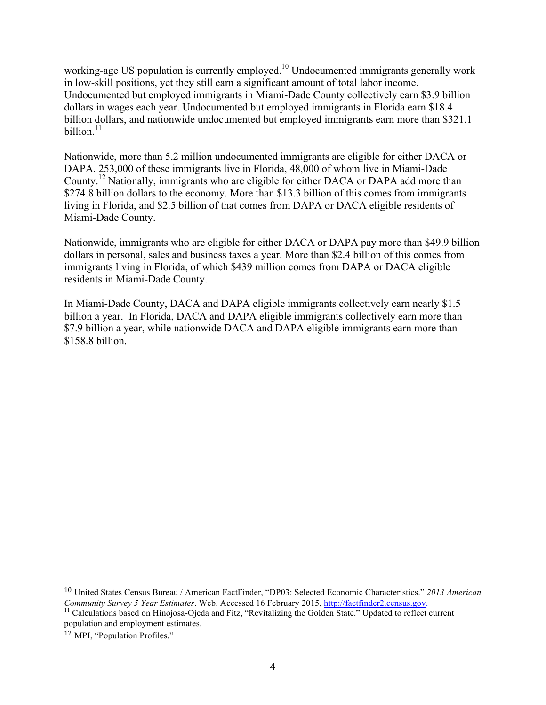working-age US population is currently employed.<sup>10</sup> Undocumented immigrants generally work in low-skill positions, yet they still earn a significant amount of total labor income. Undocumented but employed immigrants in Miami-Dade County collectively earn \$3.9 billion dollars in wages each year. Undocumented but employed immigrants in Florida earn \$18.4 billion dollars, and nationwide undocumented but employed immigrants earn more than \$321.1 billion. $11$ 

Nationwide, more than 5.2 million undocumented immigrants are eligible for either DACA or DAPA. 253,000 of these immigrants live in Florida, 48,000 of whom live in Miami-Dade County.<sup>12</sup> Nationally, immigrants who are eligible for either DACA or DAPA add more than \$274.8 billion dollars to the economy. More than \$13.3 billion of this comes from immigrants living in Florida, and \$2.5 billion of that comes from DAPA or DACA eligible residents of Miami-Dade County.

Nationwide, immigrants who are eligible for either DACA or DAPA pay more than \$49.9 billion dollars in personal, sales and business taxes a year. More than \$2.4 billion of this comes from immigrants living in Florida, of which \$439 million comes from DAPA or DACA eligible residents in Miami-Dade County.

In Miami-Dade County, DACA and DAPA eligible immigrants collectively earn nearly \$1.5 billion a year. In Florida, DACA and DAPA eligible immigrants collectively earn more than \$7.9 billion a year, while nationwide DACA and DAPA eligible immigrants earn more than \$158.8 billion.

<sup>10</sup> United States Census Bureau / American FactFinder, "DP03: Selected Economic Characteristics." *2013 American Community Survey 5 Year Estimates*. Web. Accessed 16 February 2015, http://factfinder2.census.gov.<br><sup>11</sup> Calculations based on Hinojosa-Ojeda and Fitz, "Revitalizing the Golden State." Updated to reflect current

population and employment estimates.

<sup>12</sup> MPI, "Population Profiles."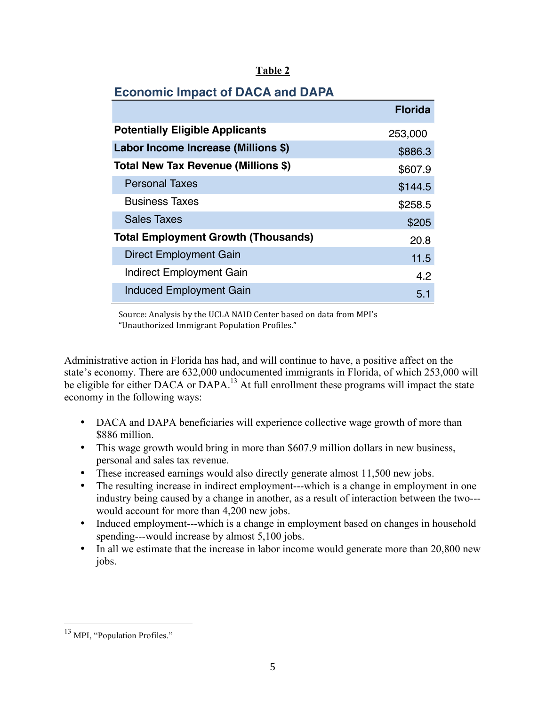|                                            | <b>Florida</b> |
|--------------------------------------------|----------------|
| <b>Potentially Eligible Applicants</b>     | 253,000        |
| Labor Income Increase (Millions \$)        | \$886.3        |
| Total New Tax Revenue (Millions \$)        | \$607.9        |
| <b>Personal Taxes</b>                      | \$144.5        |
| <b>Business Taxes</b>                      | \$258.5        |
| <b>Sales Taxes</b>                         | \$205          |
| <b>Total Employment Growth (Thousands)</b> | 20.8           |
| <b>Direct Employment Gain</b>              | 11.5           |
| <b>Indirect Employment Gain</b>            | 4.2            |
| <b>Induced Employment Gain</b>             | 51             |

## **Economic Impact of DACA and DAPA**

Source: Analysis by the UCLA NAID Center based on data from MPI's "Unauthorized Immigrant Population Profiles."

Administrative action in Florida has had, and will continue to have, a positive affect on the state's economy. There are 632,000 undocumented immigrants in Florida, of which 253,000 will be eligible for either DACA or DAPA.<sup>13</sup> At full enrollment these programs will impact the state economy in the following ways:

- DACA and DAPA beneficiaries will experience collective wage growth of more than \$886 million.
- This wage growth would bring in more than \$607.9 million dollars in new business, personal and sales tax revenue.
- These increased earnings would also directly generate almost 11,500 new jobs.
- The resulting increase in indirect employment---which is a change in employment in one industry being caused by a change in another, as a result of interaction between the two-- would account for more than 4,200 new jobs.
- Induced employment---which is a change in employment based on changes in household spending---would increase by almost 5,100 jobs.
- In all we estimate that the increase in labor income would generate more than 20,800 new jobs.

<sup>&</sup>lt;sup>13</sup> MPI, "Population Profiles."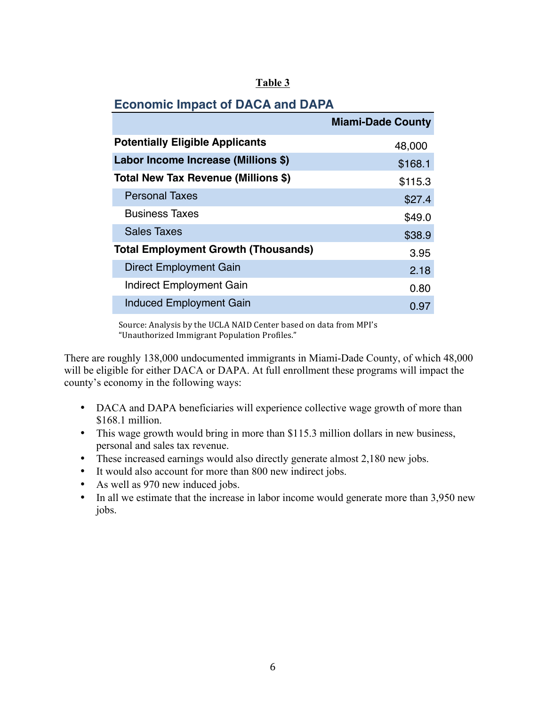# **Economic Impact of DACA and DAPA**

|                                            | <b>Miami-Dade County</b> |
|--------------------------------------------|--------------------------|
| <b>Potentially Eligible Applicants</b>     | 48,000                   |
| Labor Income Increase (Millions \$)        | \$168.1                  |
| Total New Tax Revenue (Millions \$)        | \$115.3                  |
| <b>Personal Taxes</b>                      | \$27.4                   |
| <b>Business Taxes</b>                      | \$49.0                   |
| <b>Sales Taxes</b>                         | \$38.9                   |
| <b>Total Employment Growth (Thousands)</b> | 3.95                     |
| <b>Direct Employment Gain</b>              | 2.18                     |
| Indirect Employment Gain                   | 0.80                     |
| <b>Induced Employment Gain</b>             | 0.97                     |

Source: Analysis by the UCLA NAID Center based on data from MPI's "Unauthorized Immigrant Population Profiles."

There are roughly 138,000 undocumented immigrants in Miami-Dade County, of which 48,000 will be eligible for either DACA or DAPA. At full enrollment these programs will impact the county's economy in the following ways:

- DACA and DAPA beneficiaries will experience collective wage growth of more than \$168.1 million.
- This wage growth would bring in more than \$115.3 million dollars in new business, personal and sales tax revenue.
- These increased earnings would also directly generate almost 2,180 new jobs.
- It would also account for more than 800 new indirect jobs.
- As well as 970 new induced jobs.
- In all we estimate that the increase in labor income would generate more than 3,950 new jobs.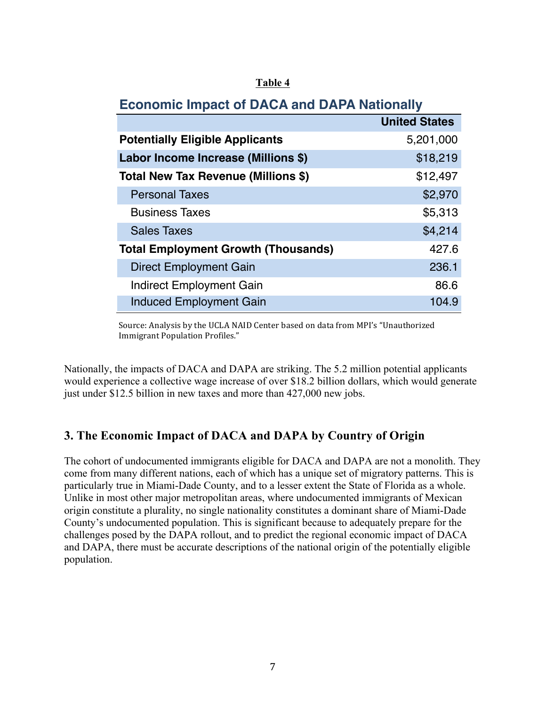# **Economic Impact of DACA and DAPA Nationally**

|                                            | <b>United States</b> |
|--------------------------------------------|----------------------|
| <b>Potentially Eligible Applicants</b>     | 5,201,000            |
| Labor Income Increase (Millions \$)        | \$18,219             |
| Total New Tax Revenue (Millions \$)        | \$12,497             |
| <b>Personal Taxes</b>                      | \$2,970              |
| <b>Business Taxes</b>                      | \$5,313              |
| <b>Sales Taxes</b>                         | \$4,214              |
| <b>Total Employment Growth (Thousands)</b> | 427.6                |
| Direct Employment Gain                     | 236.1                |
| <b>Indirect Employment Gain</b>            | 86.6                 |
| <b>Induced Employment Gain</b>             | 104.9                |

Source: Analysis by the UCLA NAID Center based on data from MPI's "Unauthorized Immigrant Population Profiles."

Nationally, the impacts of DACA and DAPA are striking. The 5.2 million potential applicants would experience a collective wage increase of over \$18.2 billion dollars, which would generate just under \$12.5 billion in new taxes and more than 427,000 new jobs.

## **3. The Economic Impact of DACA and DAPA by Country of Origin**

The cohort of undocumented immigrants eligible for DACA and DAPA are not a monolith. They come from many different nations, each of which has a unique set of migratory patterns. This is particularly true in Miami-Dade County, and to a lesser extent the State of Florida as a whole. Unlike in most other major metropolitan areas, where undocumented immigrants of Mexican origin constitute a plurality, no single nationality constitutes a dominant share of Miami-Dade County's undocumented population. This is significant because to adequately prepare for the challenges posed by the DAPA rollout, and to predict the regional economic impact of DACA and DAPA, there must be accurate descriptions of the national origin of the potentially eligible population.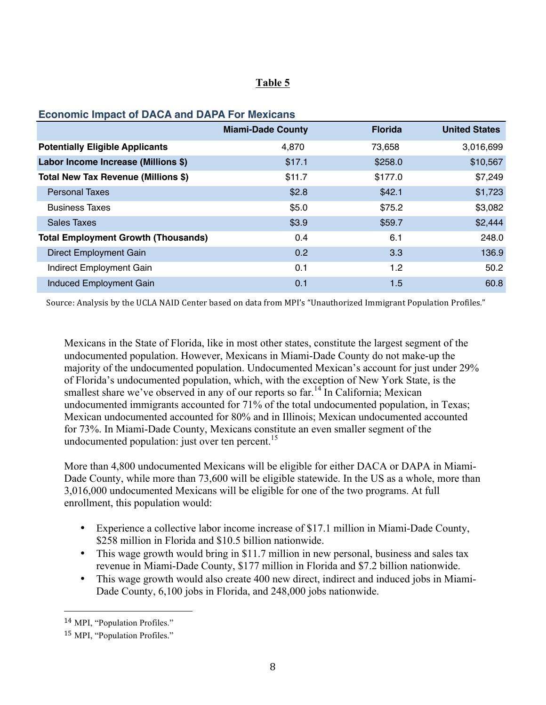#### **Economic Impact of DACA and DAPA For Mexicans**

|                                            | <b>Miami-Dade County</b> | <b>Florida</b> | <b>United States</b> |
|--------------------------------------------|--------------------------|----------------|----------------------|
| <b>Potentially Eligible Applicants</b>     | 4,870                    | 73,658         | 3,016,699            |
| Labor Income Increase (Millions \$)        | \$17.1                   | \$258.0        | \$10,567             |
| Total New Tax Revenue (Millions \$)        | \$11.7                   | \$177.0        | \$7,249              |
| <b>Personal Taxes</b>                      | \$2.8                    | \$42.1         | \$1,723              |
| <b>Business Taxes</b>                      | \$5.0                    | \$75.2         | \$3,082              |
| <b>Sales Taxes</b>                         | \$3.9                    | \$59.7         | \$2,444              |
| <b>Total Employment Growth (Thousands)</b> | 0.4                      | 6.1            | 248.0                |
| <b>Direct Employment Gain</b>              | 0.2                      | 3.3            | 136.9                |
| Indirect Employment Gain                   | 0.1                      | 1.2            | 50.2                 |
| <b>Induced Employment Gain</b>             | 0.1                      | 1.5            | 60.8                 |

Source: Analysis by the UCLA NAID Center based on data from MPI's "Unauthorized Immigrant Population Profiles."

Mexicans in the State of Florida, like in most other states, constitute the largest segment of the undocumented population. However, Mexicans in Miami-Dade County do not make-up the majority of the undocumented population. Undocumented Mexican's account for just under 29% of Florida's undocumented population, which, with the exception of New York State, is the smallest share we've observed in any of our reports so far.<sup>14</sup> In California: Mexican undocumented immigrants accounted for 71% of the total undocumented population, in Texas; Mexican undocumented accounted for 80% and in Illinois; Mexican undocumented accounted for 73%. In Miami-Dade County, Mexicans constitute an even smaller segment of the undocumented population: just over ten percent. $15$ 

More than 4,800 undocumented Mexicans will be eligible for either DACA or DAPA in Miami-Dade County, while more than 73,600 will be eligible statewide. In the US as a whole, more than 3,016,000 undocumented Mexicans will be eligible for one of the two programs. At full enrollment, this population would:

- Experience a collective labor income increase of \$17.1 million in Miami-Dade County, \$258 million in Florida and \$10.5 billion nationwide.
- This wage growth would bring in \$11.7 million in new personal, business and sales tax revenue in Miami-Dade County, \$177 million in Florida and \$7.2 billion nationwide.
- This wage growth would also create 400 new direct, indirect and induced jobs in Miami-Dade County, 6,100 jobs in Florida, and 248,000 jobs nationwide.

<sup>14</sup> MPI, "Population Profiles."

<sup>15</sup> MPI, "Population Profiles."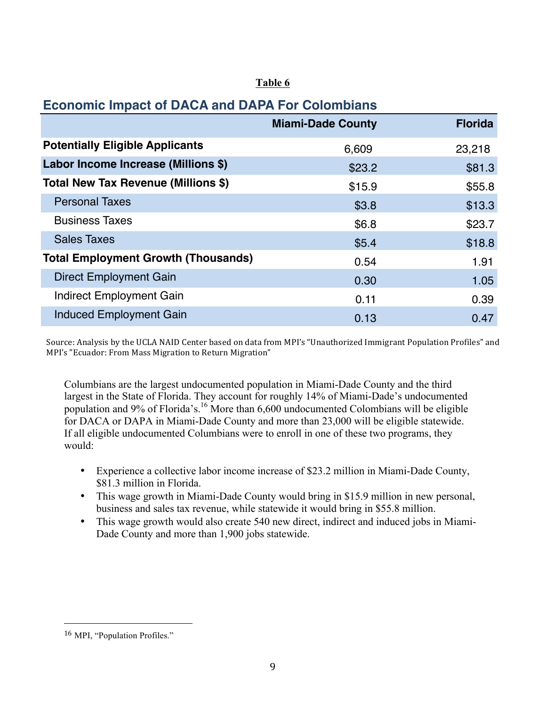# **Economic Impact of DACA and DAPA For Colombians**

|                                            | <b>Miami-Dade County</b> | <b>Florida</b> |
|--------------------------------------------|--------------------------|----------------|
| <b>Potentially Eligible Applicants</b>     | 6,609                    | 23,218         |
| Labor Income Increase (Millions \$)        | \$23.2                   | \$81.3         |
| Total New Tax Revenue (Millions \$)        | \$15.9                   | \$55.8         |
| <b>Personal Taxes</b>                      | \$3.8                    | \$13.3         |
| <b>Business Taxes</b>                      | \$6.8                    | \$23.7         |
| <b>Sales Taxes</b>                         | \$5.4                    | \$18.8         |
| <b>Total Employment Growth (Thousands)</b> | 0.54                     | 1.91           |
| <b>Direct Employment Gain</b>              | 0.30                     | 1.05           |
| <b>Indirect Employment Gain</b>            | 0.11                     | 0.39           |
| <b>Induced Employment Gain</b>             | 0.13                     | 0.47           |

Source: Analysis by the UCLA NAID Center based on data from MPI's "Unauthorized Immigrant Population Profiles" and MPI's "Ecuador: From Mass Migration to Return Migration"

Columbians are the largest undocumented population in Miami-Dade County and the third largest in the State of Florida. They account for roughly 14% of Miami-Dade's undocumented population and 9% of Florida's. <sup>16</sup> More than 6,600 undocumented Colombians will be eligible for DACA or DAPA in Miami-Dade County and more than 23,000 will be eligible statewide. If all eligible undocumented Columbians were to enroll in one of these two programs, they would:

- Experience a collective labor income increase of \$23.2 million in Miami-Dade County, \$81.3 million in Florida.
- This wage growth in Miami-Dade County would bring in \$15.9 million in new personal, business and sales tax revenue, while statewide it would bring in \$55.8 million.
- This wage growth would also create 540 new direct, indirect and induced jobs in Miami-Dade County and more than 1,900 jobs statewide.

<sup>16</sup> MPI, "Population Profiles."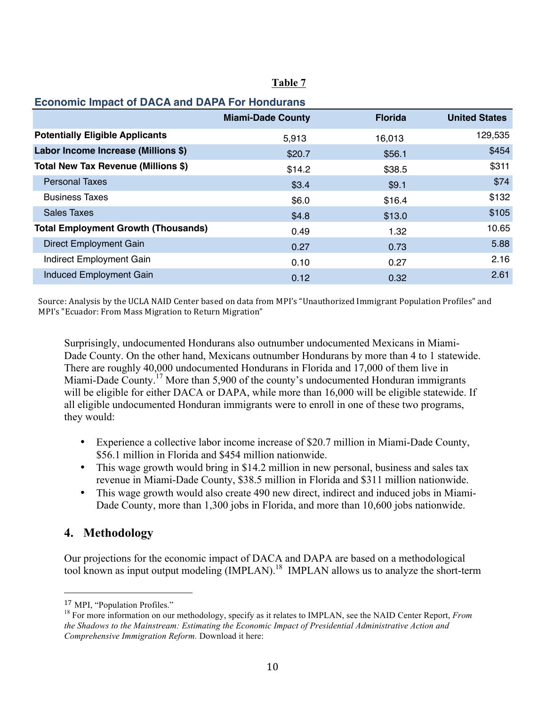| <b>Economic Impact of DACA and DAPA For Hondurans</b> |                          |                |                      |
|-------------------------------------------------------|--------------------------|----------------|----------------------|
|                                                       | <b>Miami-Dade County</b> | <b>Florida</b> | <b>United States</b> |
| <b>Potentially Eligible Applicants</b>                | 5,913                    | 16,013         | 129,535              |
| Labor Income Increase (Millions \$)                   | \$20.7                   | \$56.1         | \$454                |
| Total New Tax Revenue (Millions \$)                   | \$14.2                   | \$38.5         | \$311                |
| <b>Personal Taxes</b>                                 | \$3.4                    | \$9.1          | \$74                 |
| <b>Business Taxes</b>                                 | \$6.0                    | \$16.4         | \$132                |
| <b>Sales Taxes</b>                                    | \$4.8                    | \$13.0         | \$105                |
| <b>Total Employment Growth (Thousands)</b>            | 0.49                     | 1.32           | 10.65                |
| Direct Employment Gain                                | 0.27                     | 0.73           | 5.88                 |
| Indirect Employment Gain                              | 0.10                     | 0.27           | 2.16                 |
| <b>Induced Employment Gain</b>                        | 0.12                     | 0.32           | 2.61                 |

Source: Analysis by the UCLA NAID Center based on data from MPI's "Unauthorized Immigrant Population Profiles" and MPI's "Ecuador: From Mass Migration to Return Migration"

Surprisingly, undocumented Hondurans also outnumber undocumented Mexicans in Miami-Dade County. On the other hand, Mexicans outnumber Hondurans by more than 4 to 1 statewide. There are roughly 40,000 undocumented Hondurans in Florida and 17,000 of them live in Miami-Dade County.<sup>17</sup> More than 5,900 of the county's undocumented Honduran immigrants will be eligible for either DACA or DAPA, while more than 16,000 will be eligible statewide. If all eligible undocumented Honduran immigrants were to enroll in one of these two programs, they would:

- Experience a collective labor income increase of \$20.7 million in Miami-Dade County, \$56.1 million in Florida and \$454 million nationwide.
- This wage growth would bring in \$14.2 million in new personal, business and sales tax revenue in Miami-Dade County, \$38.5 million in Florida and \$311 million nationwide.
- This wage growth would also create 490 new direct, indirect and induced jobs in Miami-Dade County, more than 1,300 jobs in Florida, and more than 10,600 jobs nationwide.

# **4. Methodology**

Our projections for the economic impact of DACA and DAPA are based on a methodological tool known as input output modeling (IMPLAN).<sup>18</sup> IMPLAN allows us to analyze the short-term

<sup>17</sup> MPI, "Population Profiles."

<sup>&</sup>lt;sup>18</sup> For more information on our methodology, specify as it relates to IMPLAN, see the NAID Center Report, *From the Shadows to the Mainstream: Estimating the Economic Impact of Presidential Administrative Action and Comprehensive Immigration Reform.* Download it here: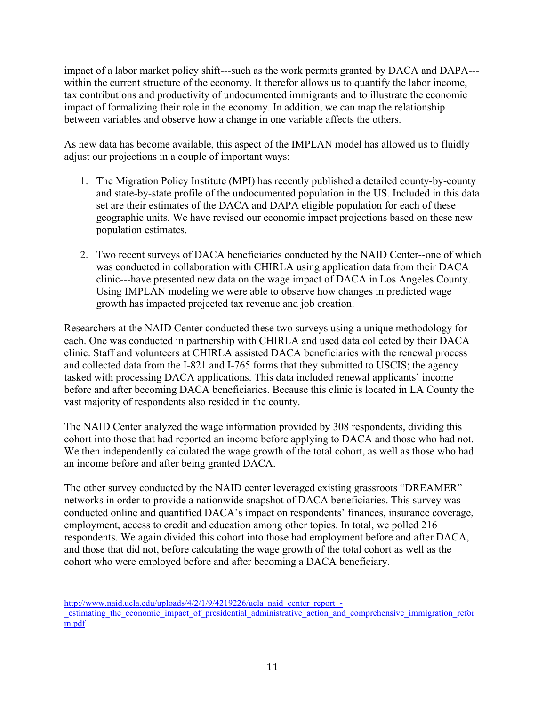impact of a labor market policy shift---such as the work permits granted by DACA and DAPA-- within the current structure of the economy. It therefor allows us to quantify the labor income, tax contributions and productivity of undocumented immigrants and to illustrate the economic impact of formalizing their role in the economy. In addition, we can map the relationship between variables and observe how a change in one variable affects the others.

As new data has become available, this aspect of the IMPLAN model has allowed us to fluidly adjust our projections in a couple of important ways:

- 1. The Migration Policy Institute (MPI) has recently published a detailed county-by-county and state-by-state profile of the undocumented population in the US. Included in this data set are their estimates of the DACA and DAPA eligible population for each of these geographic units. We have revised our economic impact projections based on these new population estimates.
- 2. Two recent surveys of DACA beneficiaries conducted by the NAID Center--one of which was conducted in collaboration with CHIRLA using application data from their DACA clinic---have presented new data on the wage impact of DACA in Los Angeles County. Using IMPLAN modeling we were able to observe how changes in predicted wage growth has impacted projected tax revenue and job creation.

Researchers at the NAID Center conducted these two surveys using a unique methodology for each. One was conducted in partnership with CHIRLA and used data collected by their DACA clinic. Staff and volunteers at CHIRLA assisted DACA beneficiaries with the renewal process and collected data from the I-821 and I-765 forms that they submitted to USCIS; the agency tasked with processing DACA applications. This data included renewal applicants' income before and after becoming DACA beneficiaries. Because this clinic is located in LA County the vast majority of respondents also resided in the county.

The NAID Center analyzed the wage information provided by 308 respondents, dividing this cohort into those that had reported an income before applying to DACA and those who had not. We then independently calculated the wage growth of the total cohort, as well as those who had an income before and after being granted DACA.

The other survey conducted by the NAID center leveraged existing grassroots "DREAMER" networks in order to provide a nationwide snapshot of DACA beneficiaries. This survey was conducted online and quantified DACA's impact on respondents' finances, insurance coverage, employment, access to credit and education among other topics. In total, we polled 216 respondents. We again divided this cohort into those had employment before and after DACA, and those that did not, before calculating the wage growth of the total cohort as well as the cohort who were employed before and after becoming a DACA beneficiary.

<u> 1989 - Andrea San Andrea San Andrea San Andrea San Andrea San Andrea San Andrea San Andrea San Andrea San An</u> http://www.naid.ucla.edu/uploads/4/2/1/9/4219226/ucla\_naid\_center\_report\_estimating the economic impact of presidential administrative action and comprehensive immigration refor m.pdf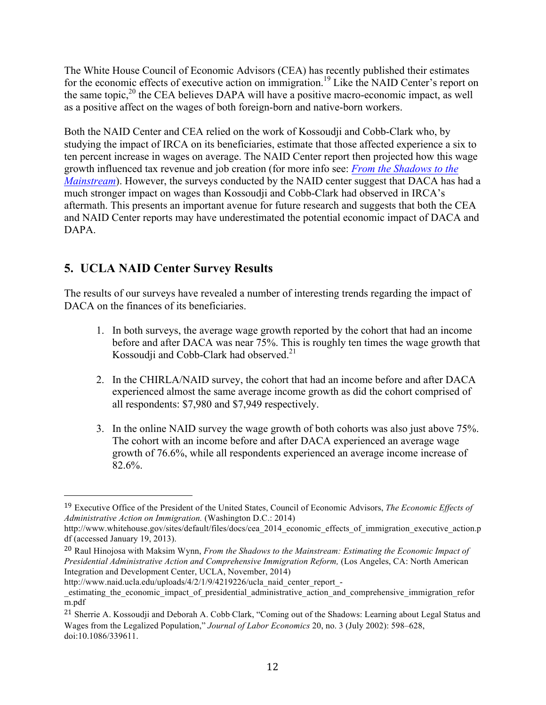The White House Council of Economic Advisors (CEA) has recently published their estimates for the economic effects of executive action on immigration.<sup>19</sup> Like the NAID Center's report on the same topic, $2^{0}$  the CEA believes DAPA will have a positive macro-economic impact, as well as a positive affect on the wages of both foreign-born and native-born workers.

Both the NAID Center and CEA relied on the work of Kossoudji and Cobb-Clark who, by studying the impact of IRCA on its beneficiaries, estimate that those affected experience a six to ten percent increase in wages on average. The NAID Center report then projected how this wage growth influenced tax revenue and job creation (for more info see: *From the Shadows to the Mainstream*). However, the surveys conducted by the NAID center suggest that DACA has had a much stronger impact on wages than Kossoudji and Cobb-Clark had observed in IRCA's aftermath. This presents an important avenue for future research and suggests that both the CEA and NAID Center reports may have underestimated the potential economic impact of DACA and DAPA.

# **5. UCLA NAID Center Survey Results**

 

The results of our surveys have revealed a number of interesting trends regarding the impact of DACA on the finances of its beneficiaries.

- 1. In both surveys, the average wage growth reported by the cohort that had an income before and after DACA was near 75%. This is roughly ten times the wage growth that Kossoudji and Cobb-Clark had observed.<sup>21</sup>
- 2. In the CHIRLA/NAID survey, the cohort that had an income before and after DACA experienced almost the same average income growth as did the cohort comprised of all respondents: \$7,980 and \$7,949 respectively.
- 3. In the online NAID survey the wage growth of both cohorts was also just above 75%. The cohort with an income before and after DACA experienced an average wage growth of 76.6%, while all respondents experienced an average income increase of 82.6%.

<sup>19</sup> Executive Office of the President of the United States, Council of Economic Advisors, *The Economic Effects of Administrative Action on Immigration.* (Washington D.C.: 2014)

http://www.whitehouse.gov/sites/default/files/docs/cea\_2014\_economic\_effects\_of\_immigration\_executive\_action.p df (accessed January 19, 2013).

<sup>20</sup> Raul Hinojosa with Maksim Wynn, *From the Shadows to the Mainstream: Estimating the Economic Impact of Presidential Administrative Action and Comprehensive Immigration Reform,* (Los Angeles, CA: North American Integration and Development Center, UCLA, November, 2014)

http://www.naid.ucla.edu/uploads/4/2/1/9/4219226/ucla\_naid\_center\_report\_-

\_estimating\_the\_economic\_impact\_of\_presidential\_administrative\_action\_and\_comprehensive\_immigration\_refor m.pdf

<sup>&</sup>lt;sup>21</sup> Sherrie A. Kossoudji and Deborah A. Cobb-Clark, "Coming out of the Shadows: Learning about Legal Status and Wages from the Legalized Population," *Journal of Labor Economics* 20, no. 3 (July 2002): 598–628, doi:10.1086/339611.